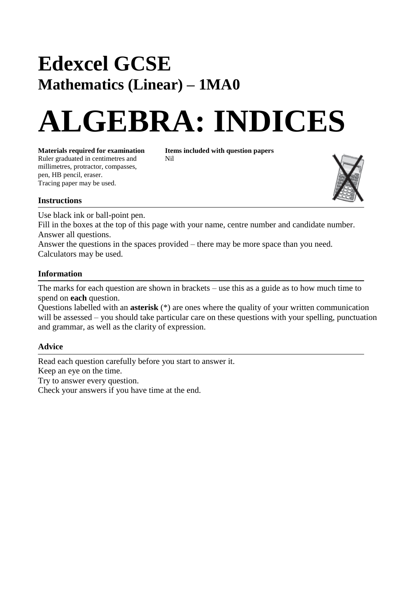## **Edexcel GCSE Mathematics (Linear) – 1MA0**

# **ALGEBRA: INDICES**

**Materials required for examination Items included with question papers**<br>Ruler graduated in centimetres and **Nil** Ruler graduated in centimetres and millimetres, protractor, compasses, pen, HB pencil, eraser. Tracing paper may be used.



#### **Instructions**

Use black ink or ball-point pen.

Fill in the boxes at the top of this page with your name, centre number and candidate number. Answer all questions.

Answer the questions in the spaces provided – there may be more space than you need. Calculators may be used.

#### **Information**

The marks for each question are shown in brackets – use this as a guide as to how much time to spend on **each** question.

Questions labelled with an **asterisk** (\*) are ones where the quality of your written communication will be assessed – you should take particular care on these questions with your spelling, punctuation and grammar, as well as the clarity of expression.

#### **Advice**

Read each question carefully before you start to answer it. Keep an eye on the time. Try to answer every question. Check your answers if you have time at the end.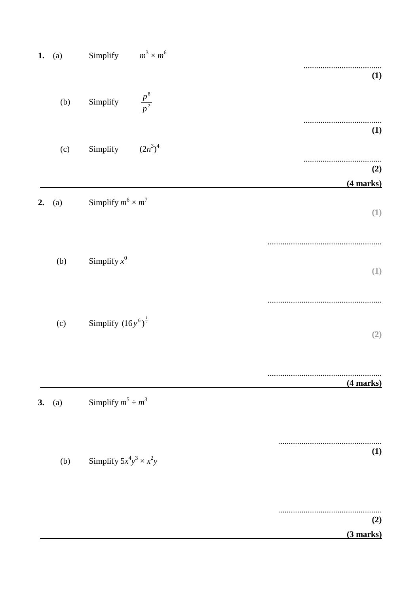| 1. | (a) | $m^3 \times m^6$<br>Simplify     |             |
|----|-----|----------------------------------|-------------|
|    |     |                                  | (1)         |
|    | (b) | $\frac{p^8}{p^2}$<br>Simplify    |             |
|    |     |                                  | (1)         |
|    | (c) | $(2n^3)^4$<br>Simplify           |             |
|    |     |                                  | (2)         |
|    |     |                                  | $(4$ marks) |
| 2. | (a) | Simplify $m^6 \times m^7$        | (1)         |
|    |     |                                  |             |
|    | (b) | Simplify $x^0$                   | (1)         |
|    |     |                                  |             |
|    | (c) | Simplify $(16y^6)^{\frac{1}{2}}$ | (2)         |
|    |     |                                  |             |
|    |     |                                  | (4 marks)   |
| 3. | (a) | Simplify $m^5 \div m^3$          |             |
|    |     |                                  |             |
|    | (b) | Simplify $5x^4y^3 \times x^2y$   | (1)         |
|    |     |                                  |             |
|    |     |                                  | (2)         |
|    |     |                                  | $(3$ marks) |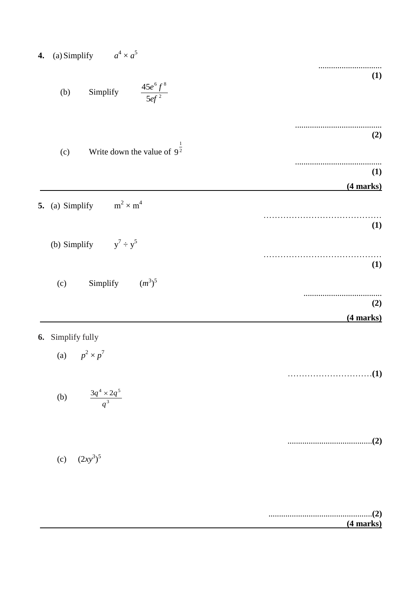| $a^4 \times a^5$<br>$(a)$ Simplify<br>4. |                                                  |             |
|------------------------------------------|--------------------------------------------------|-------------|
|                                          | $\frac{45e^6f^8}{5ef^2}$<br>Simplify<br>(b)      | (1)         |
|                                          | Write down the value of $9^{\frac{1}{2}}$<br>(c) | (2)         |
|                                          |                                                  | (1)         |
|                                          |                                                  | $(4$ marks) |
|                                          | $m^2 \times m^4$<br>5. (a) Simplify              |             |
|                                          | (b) Simplify $y^7 \div y^5$                      | (1)         |
|                                          |                                                  | (1)         |
|                                          | Simplify $(m^3)^5$<br>(c)                        |             |
|                                          |                                                  | (2)         |
|                                          |                                                  | $(4$ marks) |
| 6.                                       | Simplify fully<br>(a) $p^2 \times p^7$           |             |
|                                          |                                                  |             |
|                                          | (b) $\frac{3q^4 \times 2q^5}{q^3}$               |             |
|                                          | (c) $(2xy^3)^5$                                  |             |
|                                          |                                                  |             |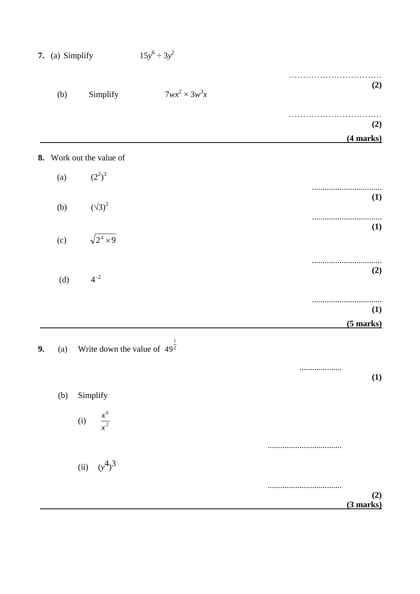|    | 7. (a) Simplify          | $15y^6 \div 3y^2$                          |                           |  |  |
|----|--------------------------|--------------------------------------------|---------------------------|--|--|
|    | (b)                      | $7wx^2 \times 3w^3x$<br>Simplify           | (2)                       |  |  |
|    |                          |                                            | (2)                       |  |  |
|    |                          |                                            | $(4$ marks)               |  |  |
|    | 8. Work out the value of |                                            |                           |  |  |
|    | (a)                      | $(2^2)^3$                                  |                           |  |  |
|    |                          |                                            | (1)                       |  |  |
|    | (b)                      | $(\sqrt{3})^2$                             |                           |  |  |
|    | (c)                      | $\sqrt{2^4 \times 9}$                      | <b>(1)</b>                |  |  |
|    | (d)                      | $4^{-2}$                                   | (2)                       |  |  |
|    |                          |                                            |                           |  |  |
|    |                          |                                            | <b>(1)</b><br>$(5$ marks) |  |  |
| 9. | (a)                      | Write down the value of $49^{\frac{1}{2}}$ |                           |  |  |
|    |                          |                                            | <br>(1)                   |  |  |
|    | (b)                      | Simplify                                   |                           |  |  |
|    |                          | (i) $\frac{x^6}{x^2}$                      |                           |  |  |
|    |                          |                                            |                           |  |  |
|    |                          |                                            |                           |  |  |
|    |                          | (ii) $(y^4)^3$                             |                           |  |  |
|    |                          |                                            | (2)                       |  |  |
|    |                          |                                            | $(3$ marks)               |  |  |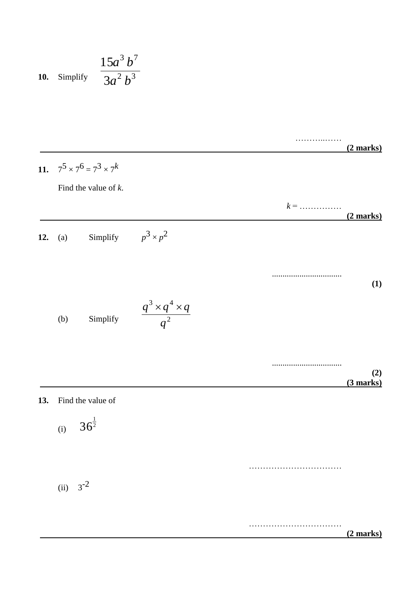**10.** Simplify 
$$
\frac{15a^3 b^7}{3a^2 b^3}
$$

……………  **(2 marks) 11.**  $7^5 \times 7^6 = 7^3 \times 7^k$ Find the value of *k*. *k* = ……………  **(2 marks) 12.** (a) Simplify  $p^3 \times p^2$ ................................. **(1)** (b) Simplify ................................. **(2) (3 marks) 13.** Find the value of (i) ……………………………  $(ii) 3^{-2}$ ……………………………  **(2 marks)** 2  $3 \times a^4$ *q*  $q^3 \times q^4 \times q$ 2  $36^{\frac{1}{2}}$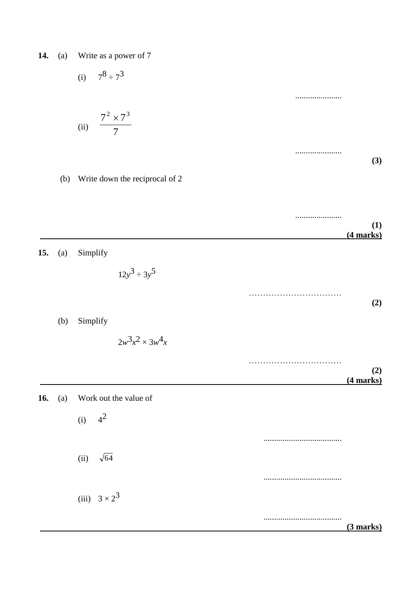**14.** (a) Write as a power of 7

$$
(i) \qquad 7^8 \div 7^3
$$

(ii) 
$$
\frac{7^2 \times 7^3}{7}
$$

...................... **(3)**

......................

### (b) Write down the reciprocal of 2

|     |     |                        | (1)<br>$(4$ marks) |
|-----|-----|------------------------|--------------------|
| 15. | (a) | Simplify               |                    |
|     |     | $12y^3 \div 3y^5$      |                    |
|     |     |                        | (2)                |
|     | (b) | Simplify               |                    |
|     |     | $2w^3x^2 \times 3w^4x$ |                    |
|     |     |                        | (2)<br>$(4$ marks) |
| 16. | (a) | Work out the value of  |                    |
|     |     | (i) $4^2$              |                    |
|     |     |                        |                    |
|     |     | $\sqrt{64}$<br>(ii)    |                    |
|     |     |                        |                    |
|     |     | (iii) $3 \times 2^3$   |                    |
|     |     |                        | .<br>$(3$ marks)   |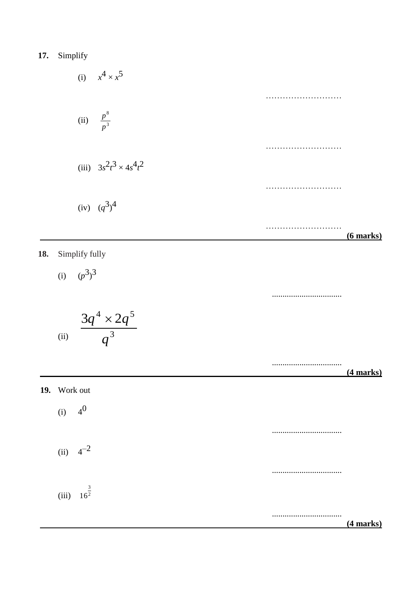**17.** Simplify

(i) 
$$
x^4 \times x^5
$$
  
\n(ii)  $\frac{p^8}{p^3}$   
\n(iii)  $3s^2t^3 \times 4s^4t^2$   
\n(iv)  $(q^3)^4$  (6 marks)

**18.** Simplify fully

(i) 
$$
(p^3)^3
$$

$$
e^{(ii)} \quad \frac{3q^4 \times 2q^5}{q^3}
$$

.................................

.................................  **(4 marks)**

**19.** Work out  $(i)$  $4^{0}$ .................................  $(ii)$   $4^{-2}$ .................................  $(iii)$  16<sup>2</sup> .................................  **(4 marks)** 3 16